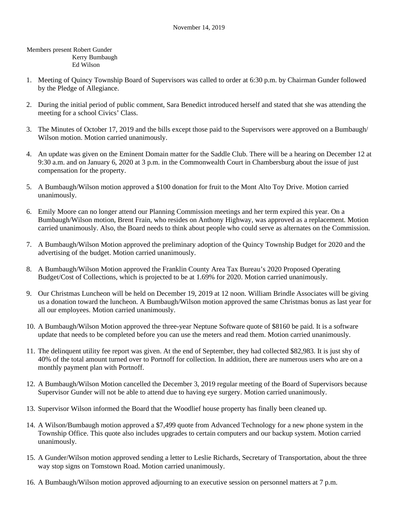Members present Robert Gunder Kerry Bumbaugh Ed Wilson

- 1. Meeting of Quincy Township Board of Supervisors was called to order at 6:30 p.m. by Chairman Gunder followed by the Pledge of Allegiance.
- 2. During the initial period of public comment, Sara Benedict introduced herself and stated that she was attending the meeting for a school Civics' Class.
- 3. The Minutes of October 17, 2019 and the bills except those paid to the Supervisors were approved on a Bumbaugh/ Wilson motion. Motion carried unanimously.
- 4. An update was given on the Eminent Domain matter for the Saddle Club. There will be a hearing on December 12 at 9:30 a.m. and on January 6, 2020 at 3 p.m. in the Commonwealth Court in Chambersburg about the issue of just compensation for the property.
- 5. A Bumbaugh/Wilson motion approved a \$100 donation for fruit to the Mont Alto Toy Drive. Motion carried unanimously.
- 6. Emily Moore can no longer attend our Planning Commission meetings and her term expired this year. On a Bumbaugh/Wilson motion, Brent Frain, who resides on Anthony Highway, was approved as a replacement. Motion carried unanimously. Also, the Board needs to think about people who could serve as alternates on the Commission.
- 7. A Bumbaugh/Wilson Motion approved the preliminary adoption of the Quincy Township Budget for 2020 and the advertising of the budget. Motion carried unanimously.
- 8. A Bumbaugh/Wilson Motion approved the Franklin County Area Tax Bureau's 2020 Proposed Operating Budget/Cost of Collections, which is projected to be at 1.69% for 2020. Motion carried unanimously.
- 9. Our Christmas Luncheon will be held on December 19, 2019 at 12 noon. William Brindle Associates will be giving us a donation toward the luncheon. A Bumbaugh/Wilson motion approved the same Christmas bonus as last year for all our employees. Motion carried unanimously.
- 10. A Bumbaugh/Wilson Motion approved the three-year Neptune Software quote of \$8160 be paid. It is a software update that needs to be completed before you can use the meters and read them. Motion carried unanimously.
- 11. The delinquent utility fee report was given. At the end of September, they had collected \$82,983. It is just shy of 40% of the total amount turned over to Portnoff for collection. In addition, there are numerous users who are on a monthly payment plan with Portnoff.
- 12. A Bumbaugh/Wilson Motion cancelled the December 3, 2019 regular meeting of the Board of Supervisors because Supervisor Gunder will not be able to attend due to having eye surgery. Motion carried unanimously.
- 13. Supervisor Wilson informed the Board that the Woodlief house property has finally been cleaned up.
- 14. A Wilson/Bumbaugh motion approved a \$7,499 quote from Advanced Technology for a new phone system in the Township Office. This quote also includes upgrades to certain computers and our backup system. Motion carried unanimously.
- 15. A Gunder/Wilson motion approved sending a letter to Leslie Richards, Secretary of Transportation, about the three way stop signs on Tomstown Road. Motion carried unanimously.
- 16. A Bumbaugh/Wilson motion approved adjourning to an executive session on personnel matters at 7 p.m.